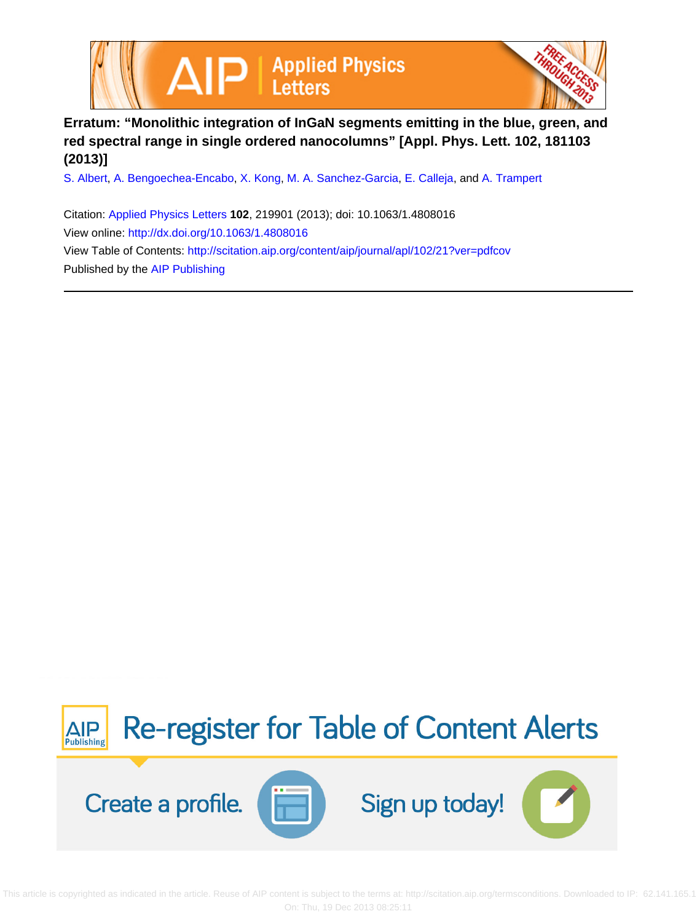



## **Erratum: "Monolithic integration of InGaN segments emitting in the blue, green, and red spectral range in single ordered nanocolumns" [Appl. Phys. Lett. 102, 181103 (2013)]**

[S. Albert](http://scitation.aip.org/search?value1=S.+Albert&option1=author), [A. Bengoechea-Encabo,](http://scitation.aip.org/search?value1=A.+Bengoechea-Encabo&option1=author) [X. Kong,](http://scitation.aip.org/search?value1=X.+Kong&option1=author) [M. A. Sanchez-Garcia](http://scitation.aip.org/search?value1=M.+A.+Sanchez-Garcia&option1=author), [E. Calleja](http://scitation.aip.org/search?value1=E.+Calleja&option1=author), and [A. Trampert](http://scitation.aip.org/search?value1=A.+Trampert&option1=author)

Citation: [Applied Physics Letters](http://scitation.aip.org/content/aip/journal/apl?ver=pdfcov) **102**, 219901 (2013); doi: 10.1063/1.4808016 View online: <http://dx.doi.org/10.1063/1.4808016> View Table of Contents: <http://scitation.aip.org/content/aip/journal/apl/102/21?ver=pdfcov> Published by the [AIP Publishing](http://scitation.aip.org/content/aip?ver=pdfcov)



 This article is copyrighted as indicated in the article. Reuse of AIP content is subject to the terms at: http://scitation.aip.org/termsconditions. Downloaded to IP: 62.141.165.1 On: Thu, 19 Dec 2013 08:25:11